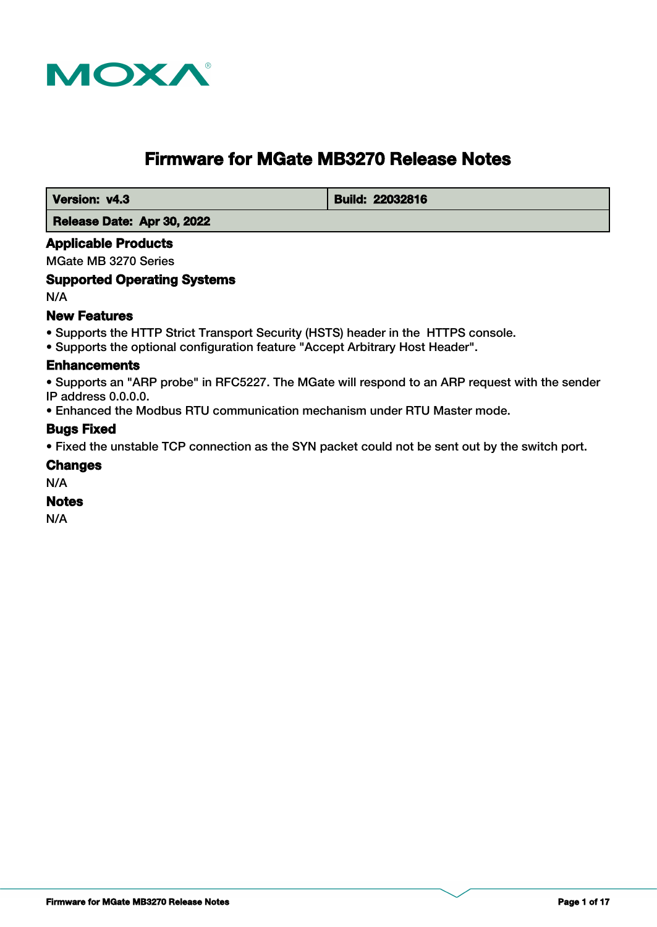

# **Firmware for MGate MB3270 Release Notes**

**Version: v4.3 Build: 22032816** 

 **Release Date: Apr 30, 2022**

### **Applicable Products**

MGate MB 3270 Series

### **Supported Operating Systems**

N/A

### **New Features**

- Supports the HTTP Strict Transport Security (HSTS) header in the HTTPS console.
- Supports the optional configuration feature "Accept Arbitrary Host Header".

#### **Enhancements**

• Supports an "ARP probe" in RFC5227. The MGate will respond to an ARP request with the sender IP address 0.0.0.0.

• Enhanced the Modbus RTU communication mechanism under RTU Master mode.

### **Bugs Fixed**

• Fixed the unstable TCP connection as the SYN packet could not be sent out by the switch port.

#### **Changes**

N/A

#### **Notes**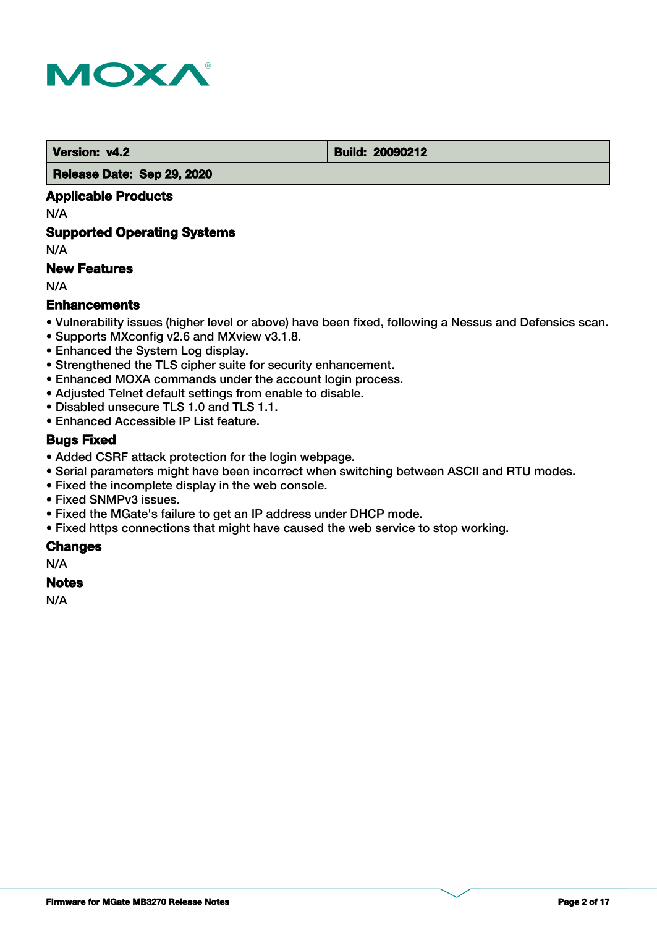

 **Version: v4.2 Build: 20090212** 

 **Release Date: Sep 29, 2020**

### **Applicable Products**

N/A

### **Supported Operating Systems**

N/A

### **New Features**

N/A

### **Enhancements**

- Vulnerability issues (higher level or above) have been fixed, following a Nessus and Defensics scan.
- Supports MXconfig v2.6 and MXview v3.1.8.
- Enhanced the System Log display.
- Strengthened the TLS cipher suite for security enhancement.
- Enhanced MOXA commands under the account login process.
- Adjusted Telnet default settings from enable to disable.
- Disabled unsecure TLS 1.0 and TLS 1.1.
- Enhanced Accessible IP List feature.

### **Bugs Fixed**

- Added CSRF attack protection for the login webpage.
- Serial parameters might have been incorrect when switching between ASCII and RTU modes.
- Fixed the incomplete display in the web console.
- Fixed SNMPv3 issues.
- Fixed the MGate's failure to get an IP address under DHCP mode.
- Fixed https connections that might have caused the web service to stop working.

### **Changes**

N/A

#### **Notes**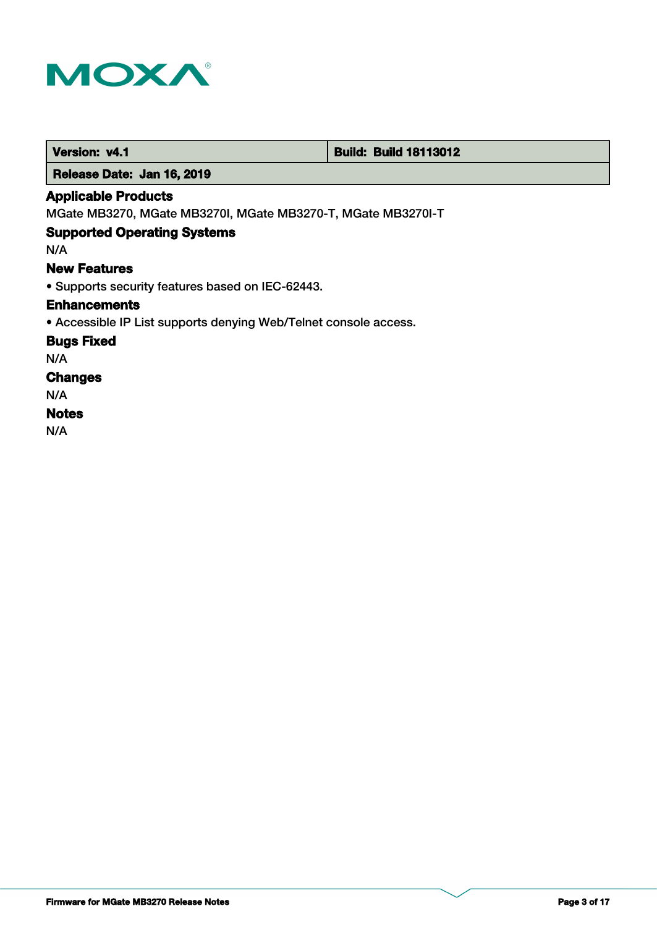

 **Version: v4.1 Build: Build: Build 18113012** 

 **Release Date: Jan 16, 2019**

### **Applicable Products**

MGate MB3270, MGate MB3270I, MGate MB3270-T, MGate MB3270I-T

## **Supported Operating Systems**

N/A

#### **New Features**

• Supports security features based on IEC-62443.

#### **Enhancements**

• Accessible IP List supports denying Web/Telnet console access.

**Bugs Fixed**

N/A

# **Changes**

N/A

### **Notes**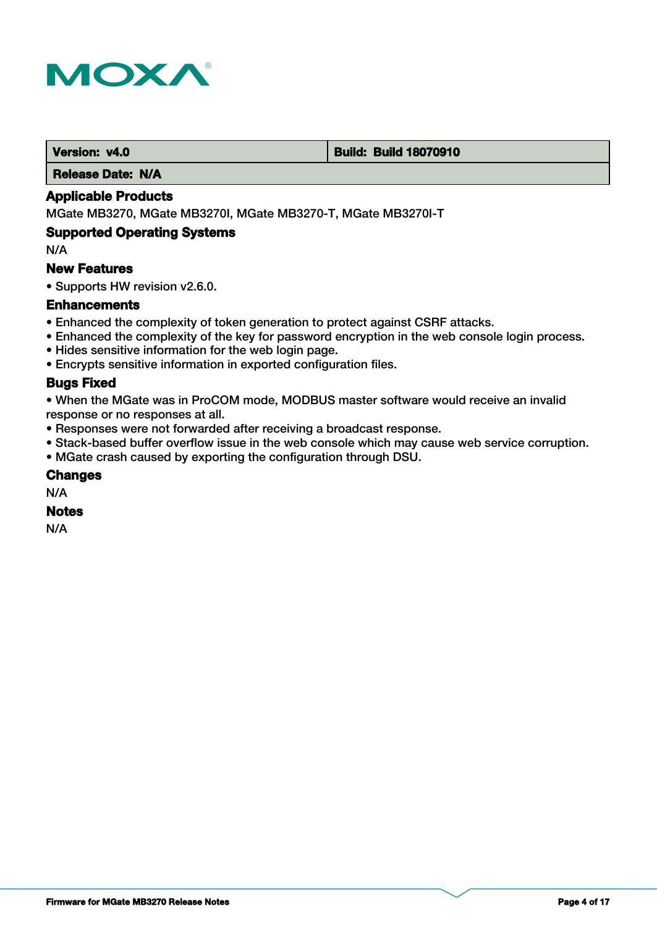

#### **Version: v4.0 Build: Build: Build 18070910**

 **Release Date: N/A**

### **Applicable Products**

MGate MB3270, MGate MB3270I, MGate MB3270-T, MGate MB3270I-T

#### **Supported Operating Systems**

N/A

#### **New Features**

• Supports HW revision v2.6.0.

#### **Enhancements**

- Enhanced the complexity of token generation to protect against CSRF attacks.
- Enhanced the complexity of the key for password encryption in the web console login process.
- Hides sensitive information for the web login page.
- Encrypts sensitive information in exported configuration files.

### **Bugs Fixed**

• When the MGate was in ProCOM mode, MODBUS master software would receive an invalid response or no responses at all.

- Responses were not forwarded after receiving a broadcast response.
- Stack-based buffer overflow issue in the web console which may cause web service corruption.
- MGate crash caused by exporting the configuration through DSU.

#### **Changes**

N/A

### **Notes**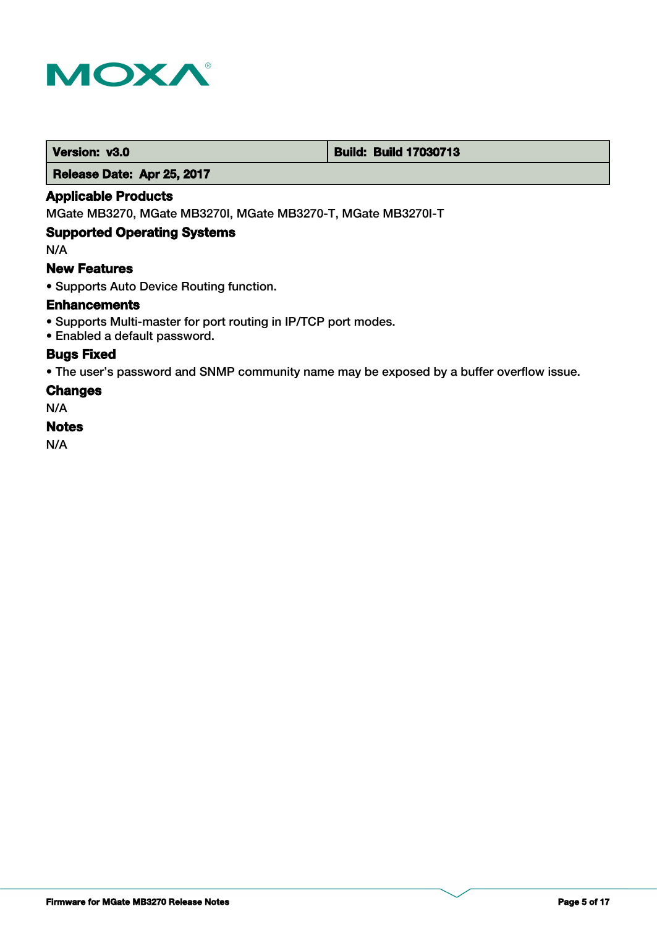

#### **Version: v3.0 Build: Build: Build 17030713**

 **Release Date: Apr 25, 2017**

### **Applicable Products**

MGate MB3270, MGate MB3270I, MGate MB3270-T, MGate MB3270I-T

#### **Supported Operating Systems**

N/A

### **New Features**

• Supports Auto Device Routing function.

#### **Enhancements**

- Supports Multi-master for port routing in IP/TCP port modes.
- Enabled a default password.

### **Bugs Fixed**

• The user's password and SNMP community name may be exposed by a buffer overflow issue.

#### **Changes**

N/A

#### **Notes**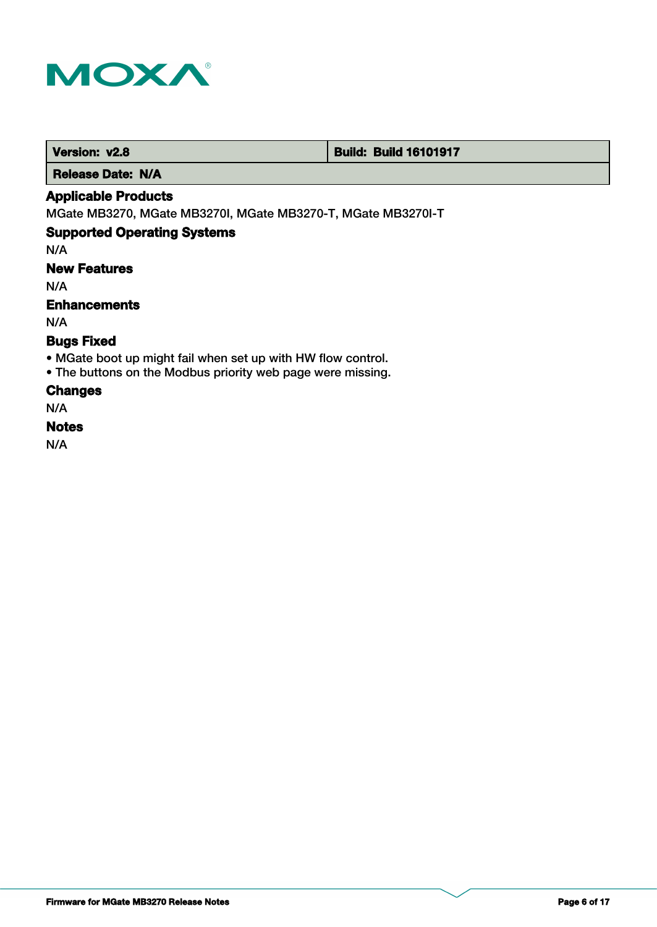

 **Version: v2.8 Build: Build: Build 16101917** 

 **Release Date: N/A**

### **Applicable Products**

MGate MB3270, MGate MB3270I, MGate MB3270-T, MGate MB3270I-T

## **Supported Operating Systems**

N/A

# **New Features**

N/A

### **Enhancements**

N/A

## **Bugs Fixed**

- MGate boot up might fail when set up with HW flow control.
- The buttons on the Modbus priority web page were missing.

#### **Changes**

N/A

#### **Notes**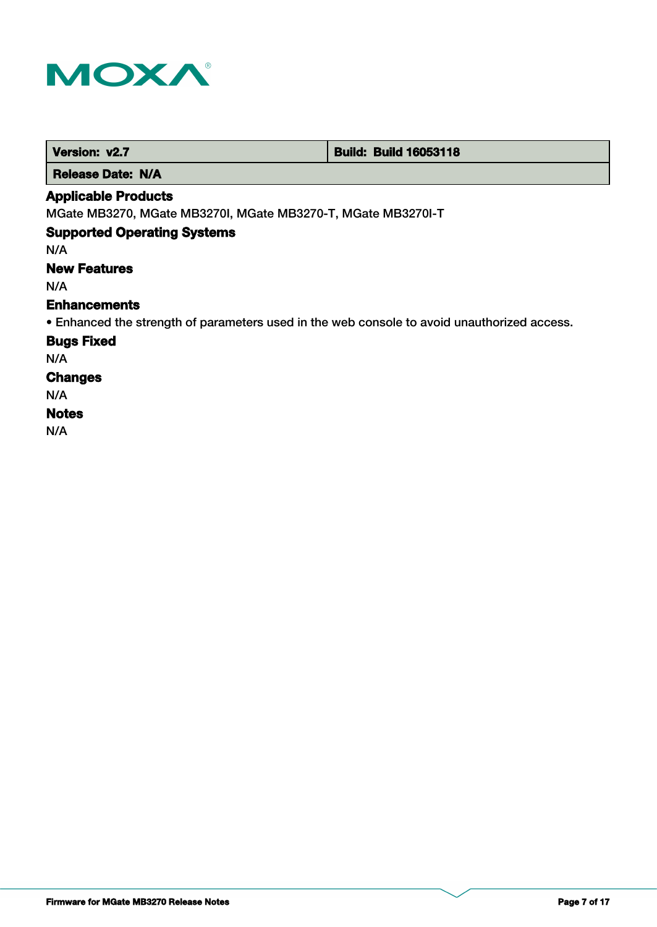

 **Version: v2.7 Build: Build: Build 16053118** 

 **Release Date: N/A**

#### **Applicable Products**

MGate MB3270, MGate MB3270I, MGate MB3270-T, MGate MB3270I-T

## **Supported Operating Systems**

N/A

## **New Features**

N/A

#### **Enhancements**

• Enhanced the strength of parameters used in the web console to avoid unauthorized access.

**Bugs Fixed**

N/A

# **Changes**

N/A

# **Notes**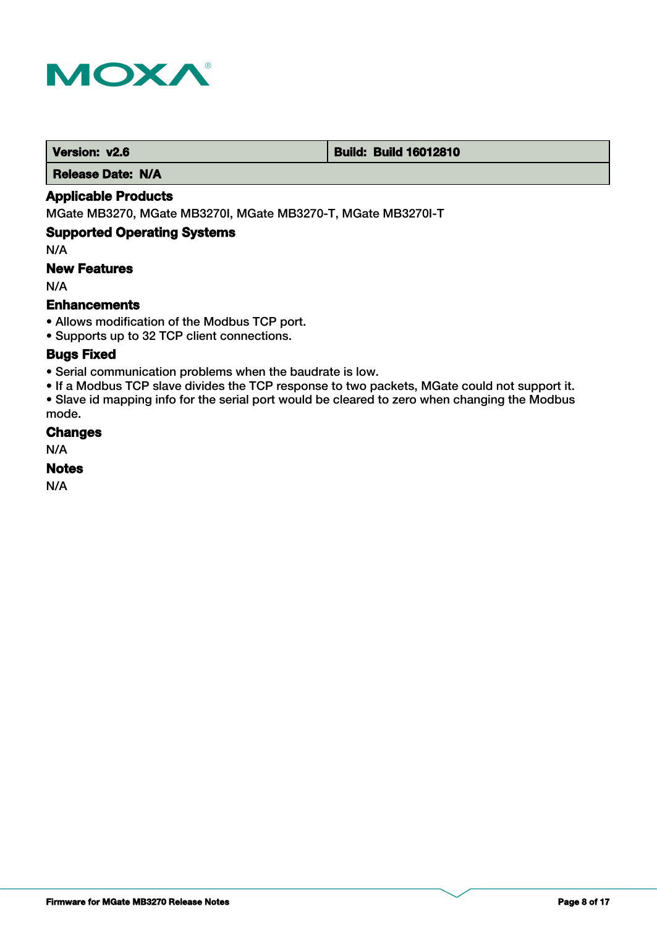

 **Version: v2.6 Build: Build: Build 16012810** 

 **Release Date: N/A**

### **Applicable Products**

MGate MB3270, MGate MB3270I, MGate MB3270-T, MGate MB3270I-T

### **Supported Operating Systems**

N/A

### **New Features**

N/A

### **Enhancements**

• Allows modification of the Modbus TCP port.

• Supports up to 32 TCP client connections.

### **Bugs Fixed**

- Serial communication problems when the baudrate is low.
- If a Modbus TCP slave divides the TCP response to two packets, MGate could not support it.

• Slave id mapping info for the serial port would be cleared to zero when changing the Modbus mode.

### **Changes**

N/A

#### **Notes**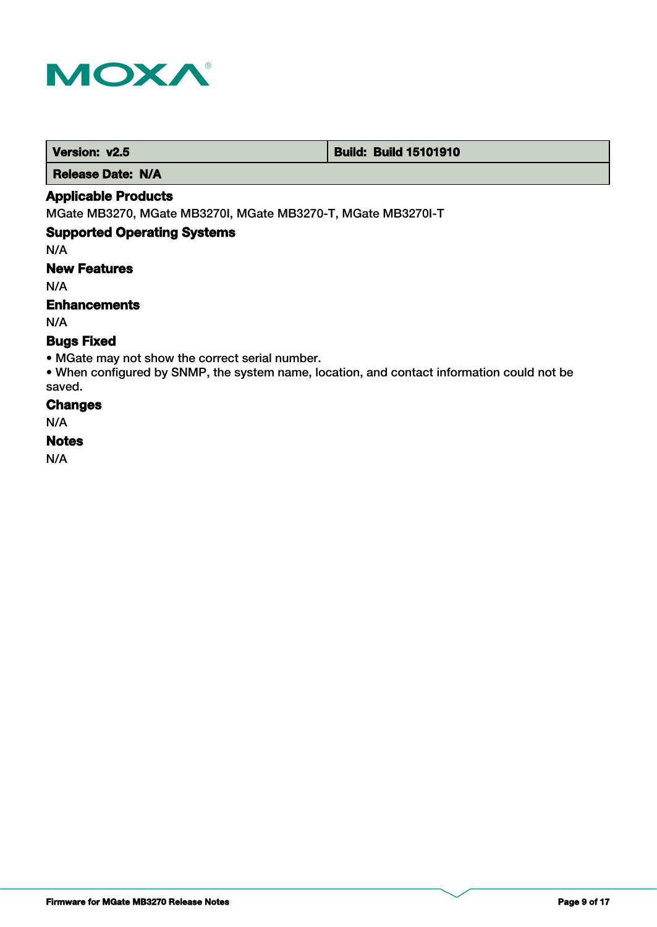

#### **Version: v2.5 Build: Build: Build 15101910**

 **Release Date: N/A**

### **Applicable Products**

MGate MB3270, MGate MB3270I, MGate MB3270-T, MGate MB3270I-T

### **Supported Operating Systems**

N/A

# **New Features**

N/A

## **Enhancements**

N/A

### **Bugs Fixed**

• MGate may not show the correct serial number.

• When configured by SNMP, the system name, location, and contact information could not be saved.

### **Changes**

N/A

#### **Notes**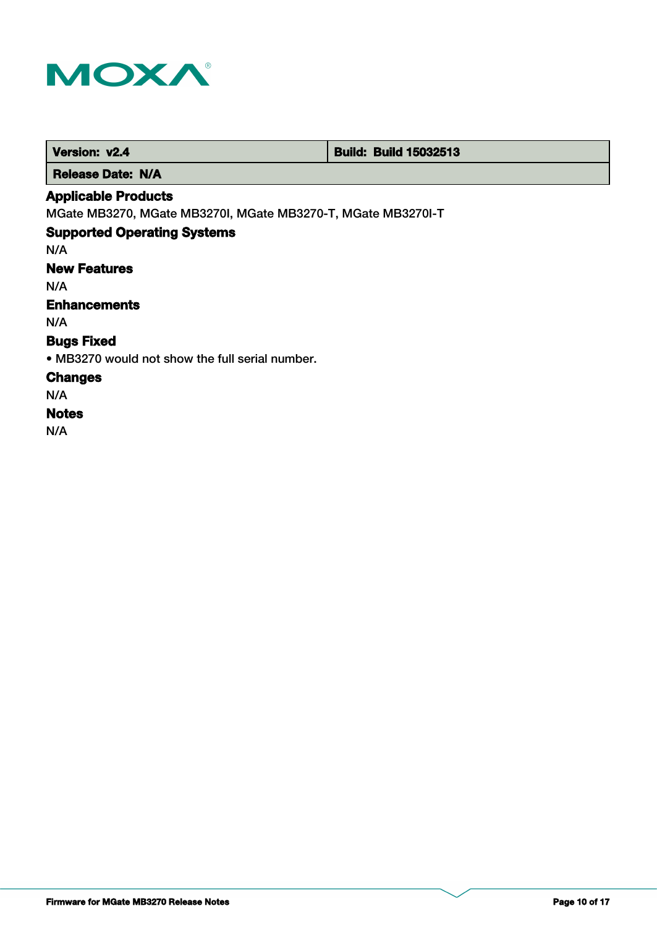

 **Version: v2.4 Build: Build: Build 15032513** 

 **Release Date: N/A**

# **Applicable Products**

MGate MB3270, MGate MB3270I, MGate MB3270-T, MGate MB3270I-T

# **Supported Operating Systems**

N/A

# **New Features**

N/A

# **Enhancements**

N/A

# **Bugs Fixed**

• MB3270 would not show the full serial number.

### **Changes**

N/A

# **Notes**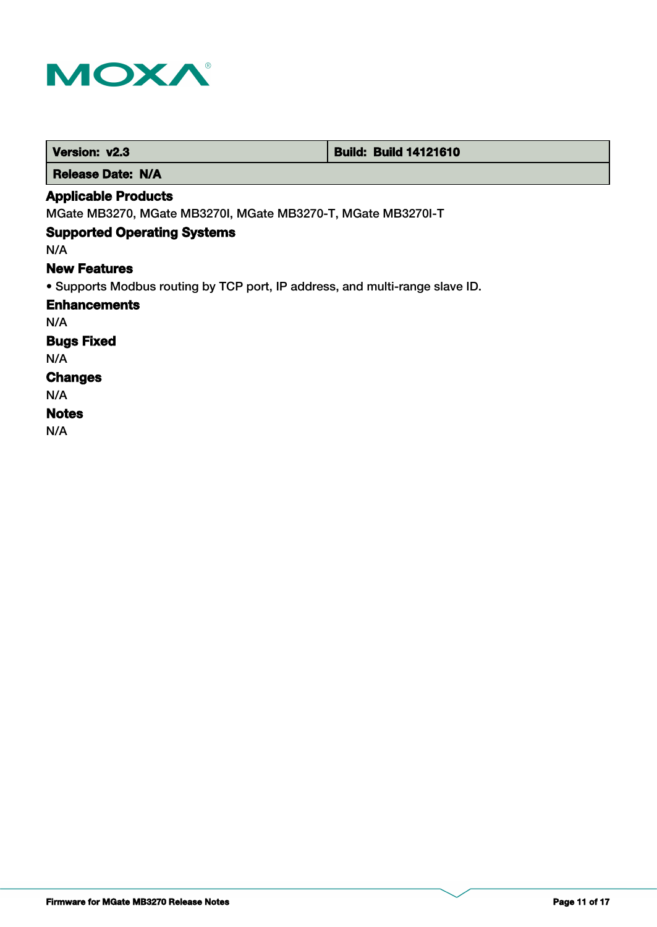

| Version: v2.3                                                                | <b>Build: Build 14121610</b> |
|------------------------------------------------------------------------------|------------------------------|
| <b>Release Date: N/A</b>                                                     |                              |
| <b>Applicable Products</b>                                                   |                              |
| MGate MB3270, MGate MB3270I, MGate MB3270-T, MGate MB3270I-T                 |                              |
| <b>Supported Operating Systems</b>                                           |                              |
| N/A                                                                          |                              |
| <b>New Features</b>                                                          |                              |
| • Supports Modbus routing by TCP port, IP address, and multi-range slave ID. |                              |
| <b>Enhancements</b>                                                          |                              |
| N/A                                                                          |                              |
| <b>Bugs Fixed</b>                                                            |                              |
| N/A                                                                          |                              |
| <b>Changes</b>                                                               |                              |
| N/A                                                                          |                              |
| <b>Notes</b>                                                                 |                              |
| N/A                                                                          |                              |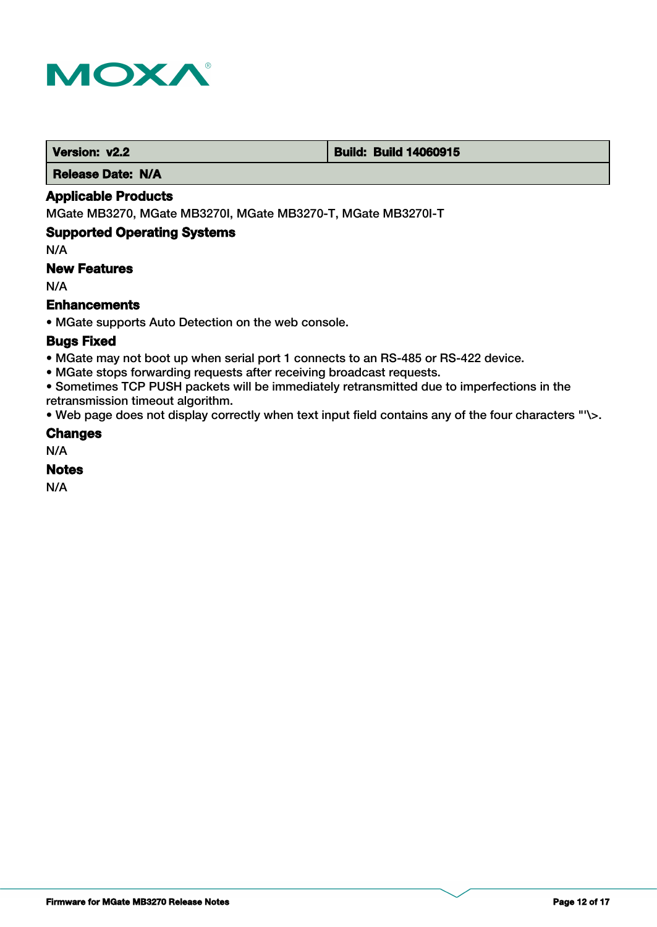

**Version: v2.2 Build: Build: Build 14060915** 

 **Release Date: N/A**

### **Applicable Products**

MGate MB3270, MGate MB3270I, MGate MB3270-T, MGate MB3270I-T

### **Supported Operating Systems**

N/A

### **New Features**

N/A

### **Enhancements**

• MGate supports Auto Detection on the web console.

#### **Bugs Fixed**

- MGate may not boot up when serial port 1 connects to an RS-485 or RS-422 device.
- MGate stops forwarding requests after receiving broadcast requests.

• Sometimes TCP PUSH packets will be immediately retransmitted due to imperfections in the retransmission timeout algorithm.

• Web page does not display correctly when text input field contains any of the four characters "'\>.

#### **Changes**

N/A

### **Notes**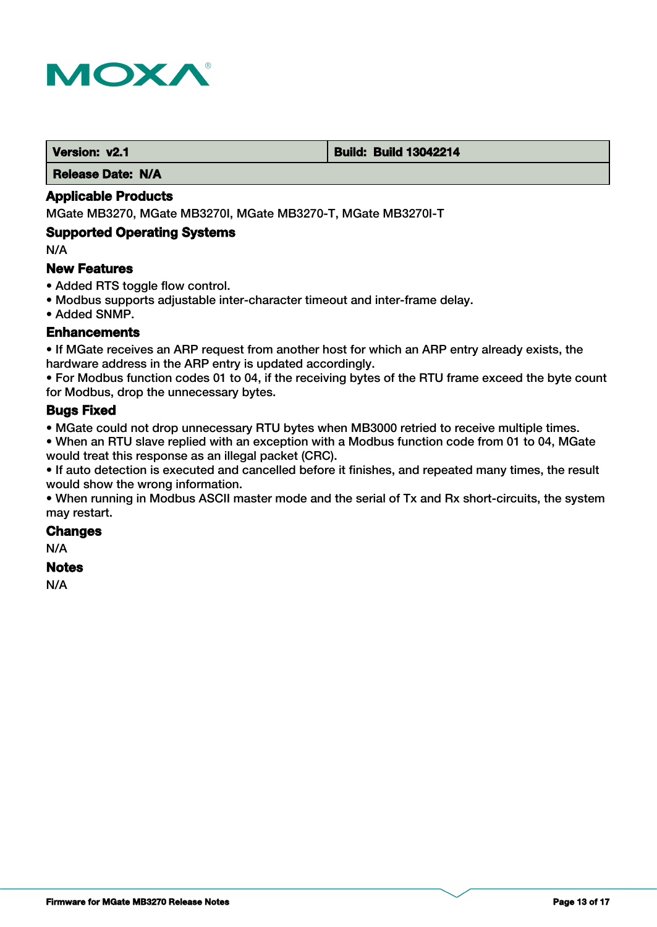

#### **Version: v2.1 Build: Build: Build 13042214**

 **Release Date: N/A**

#### **Applicable Products**

MGate MB3270, MGate MB3270I, MGate MB3270-T, MGate MB3270I-T

#### **Supported Operating Systems**

N/A

#### **New Features**

- Added RTS toggle flow control.
- Modbus supports adjustable inter-character timeout and inter-frame delay.
- Added SNMP.

#### **Enhancements**

• If MGate receives an ARP request from another host for which an ARP entry already exists, the hardware address in the ARP entry is updated accordingly.

• For Modbus function codes 01 to 04, if the receiving bytes of the RTU frame exceed the byte count for Modbus, drop the unnecessary bytes.

### **Bugs Fixed**

• MGate could not drop unnecessary RTU bytes when MB3000 retried to receive multiple times.

• When an RTU slave replied with an exception with a Modbus function code from 01 to 04, MGate would treat this response as an illegal packet (CRC).

• If auto detection is executed and cancelled before it finishes, and repeated many times, the result would show the wrong information.

• When running in Modbus ASCII master mode and the serial of Tx and Rx short-circuits, the system may restart.

#### **Changes**

N/A

### **Notes**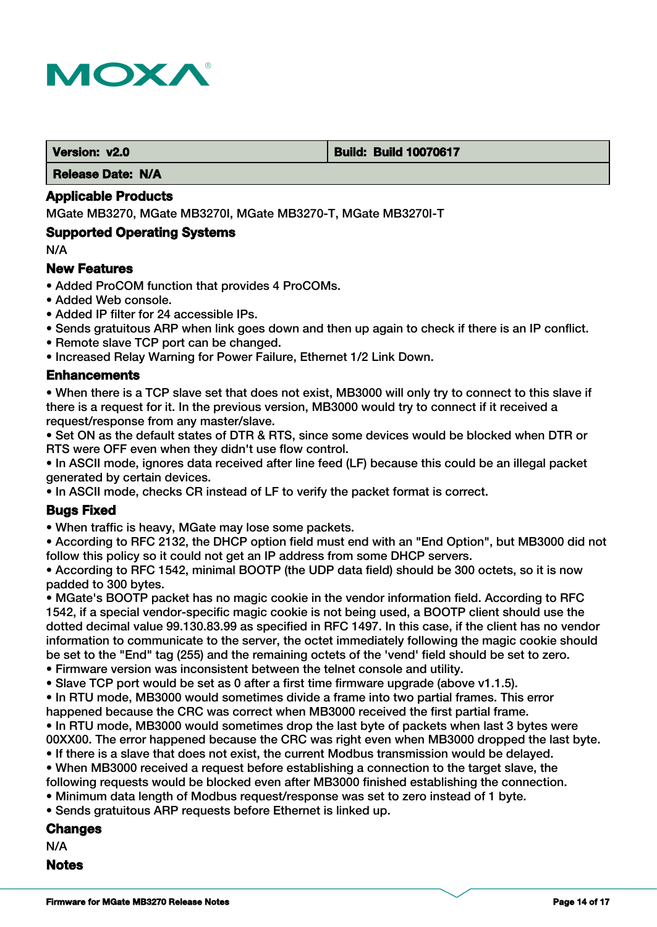

#### **Version: v2.0 Build: Build 10070617**

 **Release Date: N/A**

#### **Applicable Products**

MGate MB3270, MGate MB3270I, MGate MB3270-T, MGate MB3270I-T

#### **Supported Operating Systems**

N/A

#### **New Features**

- Added ProCOM function that provides 4 ProCOMs.
- Added Web console.
- Added IP filter for 24 accessible IPs.
- Sends gratuitous ARP when link goes down and then up again to check if there is an IP conflict.
- Remote slave TCP port can be changed.
- Increased Relay Warning for Power Failure, Ethernet 1/2 Link Down.

### **Enhancements**

• When there is a TCP slave set that does not exist, MB3000 will only try to connect to this slave if there is a request for it. In the previous version, MB3000 would try to connect if it received a request/response from any master/slave.

• Set ON as the default states of DTR & RTS, since some devices would be blocked when DTR or RTS were OFF even when they didn't use flow control.

• In ASCII mode, ignores data received after line feed (LF) because this could be an illegal packet generated by certain devices.

• In ASCII mode, checks CR instead of LF to verify the packet format is correct.

### **Bugs Fixed**

• When traffic is heavy, MGate may lose some packets.

• According to RFC 2132, the DHCP option field must end with an "End Option", but MB3000 did not follow this policy so it could not get an IP address from some DHCP servers.

• According to RFC 1542, minimal BOOTP (the UDP data field) should be 300 octets, so it is now padded to 300 bytes.

• MGate's BOOTP packet has no magic cookie in the vendor information field. According to RFC 1542, if a special vendor-specific magic cookie is not being used, a BOOTP client should use the dotted decimal value 99.130.83.99 as specified in RFC 1497. In this case, if the client has no vendor information to communicate to the server, the octet immediately following the magic cookie should be set to the "End" tag (255) and the remaining octets of the 'vend' field should be set to zero.

- Firmware version was inconsistent between the telnet console and utility.
- Slave TCP port would be set as 0 after a first time firmware upgrade (above v1.1.5).
- In RTU mode, MB3000 would sometimes divide a frame into two partial frames. This error happened because the CRC was correct when MB3000 received the first partial frame.
- In RTU mode, MB3000 would sometimes drop the last byte of packets when last 3 bytes were 00XX00. The error happened because the CRC was right even when MB3000 dropped the last byte.
- If there is a slave that does not exist, the current Modbus transmission would be delayed.
- When MB3000 received a request before establishing a connection to the target slave, the following requests would be blocked even after MB3000 finished establishing the connection.
- Minimum data length of Modbus request/response was set to zero instead of 1 byte.
- Sends gratuitous ARP requests before Ethernet is linked up.

#### **Changes**

N/A

#### **Notes**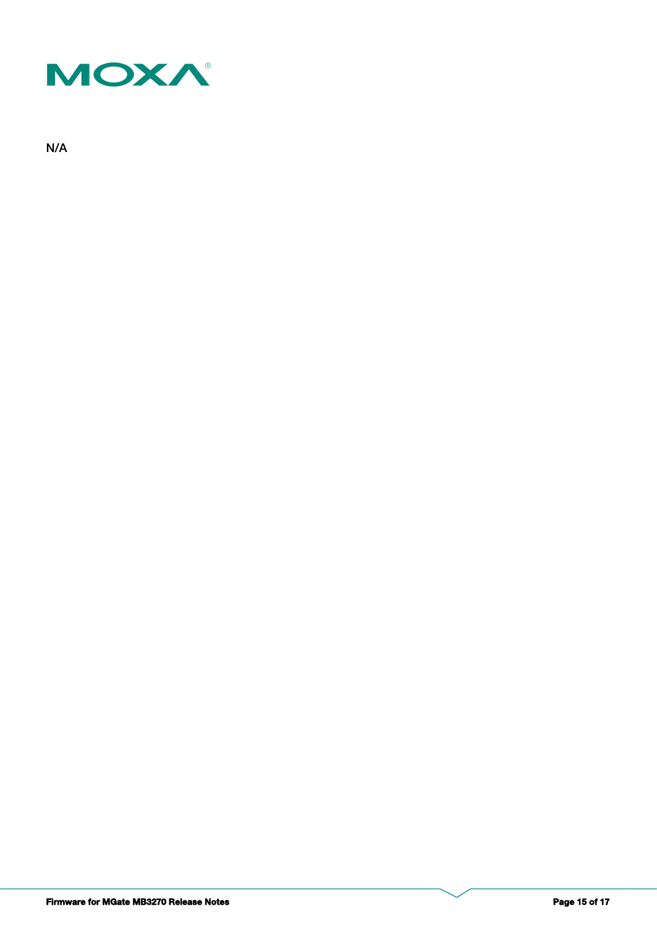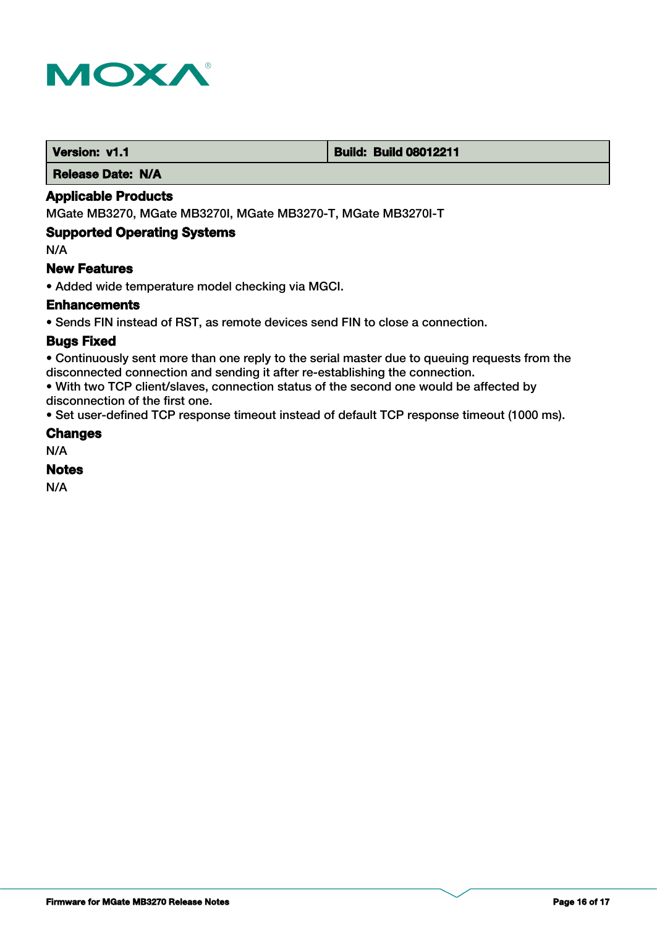

#### **Version: v1.1 Version: v1.1 Build: Build: Build 08012211**

 **Release Date: N/A**

### **Applicable Products**

MGate MB3270, MGate MB3270I, MGate MB3270-T, MGate MB3270I-T

### **Supported Operating Systems**

N/A

#### **New Features**

• Added wide temperature model checking via MGCI.

#### **Enhancements**

• Sends FIN instead of RST, as remote devices send FIN to close a connection.

### **Bugs Fixed**

• Continuously sent more than one reply to the serial master due to queuing requests from the disconnected connection and sending it after re-establishing the connection.

• With two TCP client/slaves, connection status of the second one would be affected by disconnection of the first one.

• Set user-defined TCP response timeout instead of default TCP response timeout (1000 ms).

#### **Changes**

N/A

### **Notes**